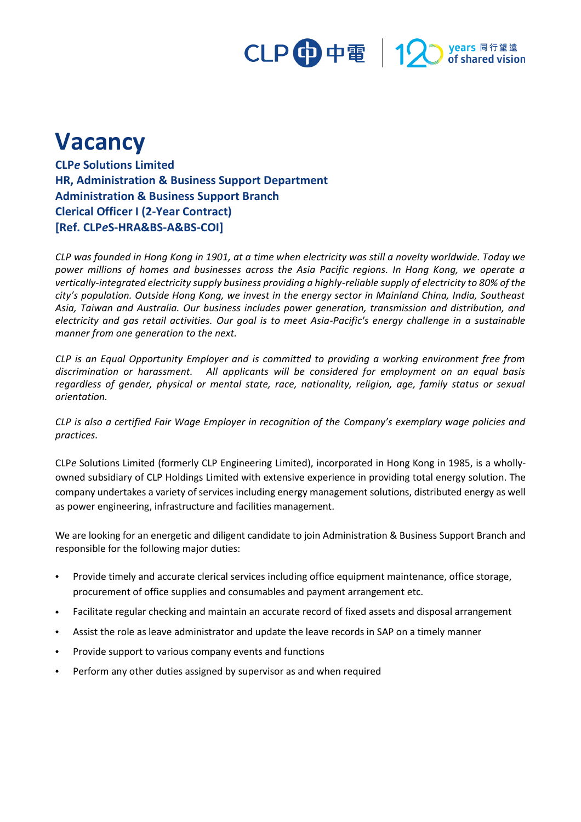

## **Vacancy**

**CLP***e* **Solutions Limited HR, Administration & Business Support Department Administration & Business Support Branch Clerical Officer I (2-Year Contract) [Ref. CLP***e***S-HRA&BS-A&BS-COI]**

*CLP was founded in Hong Kong in 1901, at a time when electricity was still a novelty worldwide. Today we power millions of homes and businesses across the Asia Pacific regions. In Hong Kong, we operate a vertically-integrated electricity supply business providing a highly-reliable supply of electricity to 80% of the city's population. Outside Hong Kong, we invest in the energy sector in Mainland China, India, Southeast Asia, Taiwan and Australia. Our business includes power generation, transmission and distribution, and electricity and gas retail activities. Our goal is to meet Asia-Pacific's energy challenge in a sustainable manner from one generation to the next.*

*CLP is an Equal Opportunity Employer and is committed to providing a working environment free from discrimination or harassment. All applicants will be considered for employment on an equal basis regardless of gender, physical or mental state, race, nationality, religion, age, family status or sexual orientation.*

*CLP is also a certified Fair Wage Employer in recognition of the Company's exemplary wage policies and practices.*

CLP*e* Solutions Limited (formerly CLP Engineering Limited), incorporated in Hong Kong in 1985, is a whollyowned subsidiary of CLP Holdings Limited with extensive experience in providing total energy solution. The company undertakes a variety of services including energy management solutions, distributed energy as well as power engineering, infrastructure and facilities management.

We are looking for an energetic and diligent candidate to join Administration & Business Support Branch and responsible for the following major duties:

- Provide timely and accurate clerical services including office equipment maintenance, office storage, procurement of office supplies and consumables and payment arrangement etc.
- Facilitate regular checking and maintain an accurate record of fixed assets and disposal arrangement
- Assist the role as leave administrator and update the leave records in SAP on a timely manner
- Provide support to various company events and functions
- Perform any other duties assigned by supervisor as and when required